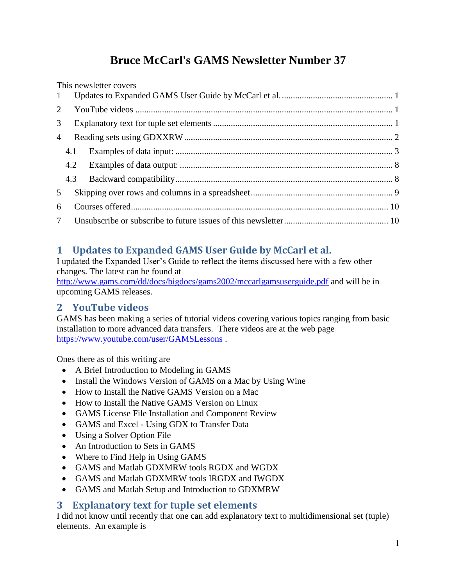# **Bruce McCarl's GAMS Newsletter Number 37**

This newsletter covers [Updates to Expanded GAMS User Guide by McCarl et al...................................................](#page-0-0) 1 YouTube videos [....................................................................................................................](#page-0-1) 1 [Explanatory text for tuple set elements.................................................................................](#page-0-2) 1 [Reading sets using GDXXRW..............................................................................................](#page-1-0) 2 4.1 Examples of data input: [..................................................................................................](#page-2-0) 3 4.2 Examples of data output: [................................................................................................](#page-7-0) 8 4.3 [Backward compatibility..................................................................................................](#page-7-1) 8 [Skipping over rows and columns in a spreadsheet................................................................](#page-8-0) 9 [Courses offered....................................................................................................................](#page-9-0) 10 [Unsubscribe or subscribe to future issues of this newsletter...............................................](#page-9-1) 10

# <span id="page-0-0"></span>**1 Updates to Expanded GAMS User Guide by McCarl et al.**

I updated the Expanded User's Guide to reflect the items discussed here with a few other changes. The latest can be found at

<http://www.gams.com/dd/docs/bigdocs/gams2002/mccarlgamsuserguide.pdf> and will be in upcoming GAMS releases.

# <span id="page-0-1"></span>**2 YouTube videos**

GAMS has been making a series of tutorial videos covering various topics ranging from basic installation to more advanced data transfers. There videos are at the web page <https://www.youtube.com/user/GAMSLessons> .

Ones there as of this writing are

- A Brief Introduction to Modeling in GAMS
- Install the Windows Version of GAMS on a Mac by Using Wine
- How to Install the Native GAMS Version on a Mac
- How to Install the Native GAMS Version on Linux
- GAMS License File Installation and Component Review
- GAMS and Excel Using GDX to Transfer Data
- Using a Solver Option File
- An Introduction to Sets in GAMS
- Where to Find Help in Using GAMS
- GAMS and Matlab GDXMRW tools RGDX and WGDX
- GAMS and Matlab GDXMRW tools IRGDX and IWGDX
- GAMS and Matlab Setup and Introduction to GDXMRW

## <span id="page-0-2"></span>**3 Explanatory text for tuple set elements**

I did not know until recently that one can add explanatory text to multidimensional set (tuple) elements. An example is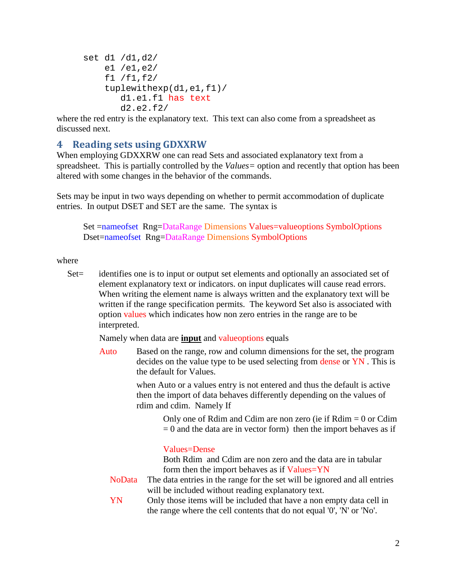```
set d1 /d1,d2/
     e1 /e1,e2/
     f1 /f1,f2/
     tuplewithexp(d1,e1,f1)/
        d1.e1.f1 has text
        d2.e2.f2/
```
where the red entry is the explanatory text. This text can also come from a spreadsheet as discussed next.

### <span id="page-1-0"></span>**4 Reading sets using GDXXRW**

When employing GDXXRW one can read Sets and associated explanatory text from a spreadsheet. This is partially controlled by the *Values=* option and recently that option has been altered with some changes in the behavior of the commands.

Sets may be input in two ways depending on whether to permit accommodation of duplicate entries. In output DSET and SET are the same. The syntax is

Set =nameofset Rng=DataRange Dimensions Values=valueoptions SymbolOptions Dset=nameofset Rng=DataRange Dimensions SymbolOptions

#### where

Set = identifies one is to input or output set elements and optionally an associated set of element explanatory text or indicators. on input duplicates will cause read errors. When writing the element name is always written and the explanatory text will be written if the range specification permits. The keyword Set also is associated with option values which indicates how non zero entries in the range are to be interpreted.

Namely when data are **input** and valueoptions equals

Auto Based on the range, row and column dimensions for the set, the program decides on the value type to be used selecting from dense or YN . This is the default for Values.

> when Auto or a values entry is not entered and thus the default is active then the import of data behaves differently depending on the values of rdim and cdim. Namely If

> > Only one of Rdim and Cdim are non zero (ie if  $Rdim = 0$  or Cdim  $= 0$  and the data are in vector form) then the import behaves as if

#### Values=Dense

Both Rdim and Cdim are non zero and the data are in tabular form then the import behaves as if Values=YN

- NoData The data entries in the range for the set will be ignored and all entries will be included without reading explanatory text.
- YN Only those items will be included that have a non empty data cell in the range where the cell contents that do not equal '0', 'N' or 'No'.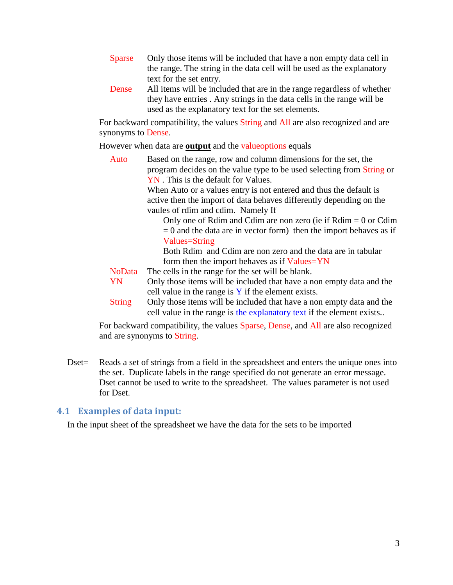- Sparse Only those items will be included that have a non empty data cell in the range. The string in the data cell will be used as the explanatory text for the set entry.
- Dense All items will be included that are in the range regardless of whether they have entries . Any strings in the data cells in the range will be used as the explanatory text for the set elements.

For backward compatibility, the values String and All are also recognized and are synonyms to Dense.

However when data are **output** and the valueoptions equals

Auto Based on the range, row and column dimensions for the set, the program decides on the value type to be used selecting from String or YN . This is the default for Values.

> When Auto or a values entry is not entered and thus the default is active then the import of data behaves differently depending on the vaules of rdim and cdim. Namely If

Only one of Rdim and Cdim are non zero (ie if  $Rdim = 0$  or Cdim  $= 0$  and the data are in vector form) then the import behaves as if Values=String

Both Rdim and Cdim are non zero and the data are in tabular form then the import behaves as if Values=YN

NoData The cells in the range for the set will be blank.

- YN Only those items will be included that have a non empty data and the cell value in the range is  $Y$  if the element exists.
- String Only those items will be included that have a non empty data and the cell value in the range is the explanatory text if the element exists..

For backward compatibility, the values Sparse, Dense, and All are also recognized and are synonyms to String.

Dset = Reads a set of strings from a field in the spreadsheet and enters the unique ones into the set. Duplicate labels in the range specified do not generate an error message. Dset cannot be used to write to the spreadsheet. The values parameter is not used for Dset.

#### <span id="page-2-0"></span>**4.1 Examples of data input:**

In the input sheet of the spreadsheet we have the data for the sets to be imported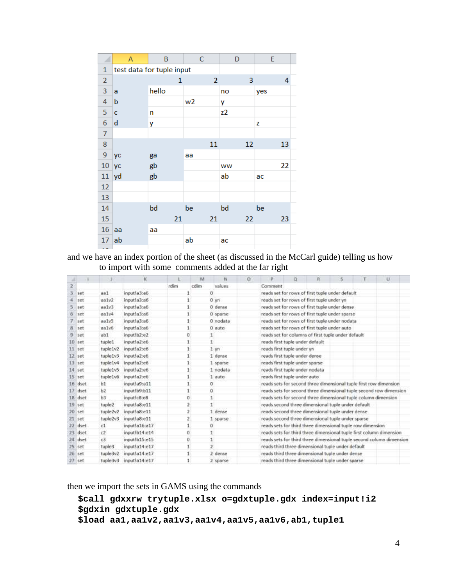|                | A           | B                         | C              | D  | E   |
|----------------|-------------|---------------------------|----------------|----|-----|
| 1              |             | test data for tuple input |                |    |     |
| $\overline{2}$ |             | 1                         | $\overline{2}$ | 3  | 4   |
| 3              | a           | hello                     |                | no | yes |
| $\overline{4}$ | b           |                           | w <sub>2</sub> | y  |     |
| 5              | c           | n                         |                | z2 |     |
| $\sqrt{6}$     | $\mathbf d$ | y                         |                |    | z   |
| $\overline{7}$ |             |                           |                |    |     |
| 8              |             |                           | 11             | 12 | 13  |
| $\overline{9}$ | уc          | ga                        | aa             |    |     |
| 10             | yc          | gb                        |                | ww | 22  |
| 11             | yd          | gb                        |                | ab | ac  |
| 12             |             |                           |                |    |     |
| 13             |             |                           |                |    |     |
| 14             |             | bd                        | be             | bd | be  |
| 15             |             | 21                        | 21             | 22 | 23  |
| 16             | aa          | аа                        |                |    |     |
| 17             | ab          |                           | ab             | ac |     |
|                |             |                           |                |    |     |

and we have an index portion of the sheet (as discussed in the McCarl guide) telling us how to import with some comments added at the far right

|              |           |           | K              |                | M    | N                   | $\alpha$ | p                                                                 | a | R |  | $\overline{u}$                                                       |
|--------------|-----------|-----------|----------------|----------------|------|---------------------|----------|-------------------------------------------------------------------|---|---|--|----------------------------------------------------------------------|
| 2            |           |           |                | rdim           | cdim | values              |          | Comment                                                           |   |   |  |                                                                      |
|              | set       | aa1       | inputla3:a6    |                |      | O.                  |          | reads set for rows of first tuple under default                   |   |   |  |                                                                      |
|              | set       | aa1v2     | input!a3:a6    | 1              |      | $0 \text{ yn}$      |          | reads set for rows of first tuple under yn                        |   |   |  |                                                                      |
|              | set       | aalv3     | input!a3:a6    | 1              |      | 0 dense             |          | reads set for rows of first tuple under dense.                    |   |   |  |                                                                      |
|              | 6 set     | aa1v4     | input!a3:a6    | $\mathbf{1}$   |      | 0 sparse            |          | reads set for rows of first tuple under sparse                    |   |   |  |                                                                      |
|              | $7$ set   | aalv5     | input!a3:a6    | 1              |      | 0 nodata            |          | reads set for rows of first tuple under nodata                    |   |   |  |                                                                      |
| 8            | set       | aalv6     | input!a3:a6    | 1              |      | $0$ auto            |          | reads set for rows of first tuple under auto                      |   |   |  |                                                                      |
| $\mathbf{B}$ | set       | abl       | input lb2:e2   | $\sigma$       |      | 1                   |          | reads set for columns of first tuple under default                |   |   |  |                                                                      |
|              | $10$ set  | tuple1    | input!a2:e6    | 1              |      |                     |          | reads first tuple under default                                   |   |   |  |                                                                      |
|              | $11$ set  | tuple1v2  | input!a2:e6    | $\mathbf{I}$   |      | $1 \,$ $\mathsf{v}$ |          | reads first tuple under yn                                        |   |   |  |                                                                      |
|              | 12 set    | tuple1v3  | input!a2:e6    | $\mathbf{1}$   |      | 1 dense             |          | reads first tuple under dense                                     |   |   |  |                                                                      |
|              | $13$ set  | tuple1v4  | input!a2:e6    | $\mathbf{1}$   |      | 1 sparse            |          | reads first tuple under sparse                                    |   |   |  |                                                                      |
|              | 14 set    | tuple1v5: | input!a2:e6    | $\mathbf{1}$   |      | 1 nodata            |          | reads first tuple under nodata                                    |   |   |  |                                                                      |
|              | $15$ set  | tuple1v6  | input la2:e6   | 1              |      | 1 auto              |          | reads first tuple under auto                                      |   |   |  |                                                                      |
|              | 16 dset   | b1        | input!a9:a11   | 1              |      | 0                   |          | reads sets for second three dimensional tuple first row dimension |   |   |  |                                                                      |
|              | 17 dset   | b2        | inputlb9:b11   | 1              |      | $\Omega$            |          |                                                                   |   |   |  | reads sets for second three dimensional tuple second row dimension   |
|              | 18 dset   | b3        | inputic8:e8    | $\alpha$       |      | 1                   |          | reads sets for second three dimensional tuple column dimension    |   |   |  |                                                                      |
|              | $19.5$ et | tuple2    | input la8:e11  | Ž.             |      |                     |          | reads second three dimensional tuple under default                |   |   |  |                                                                      |
|              | $20$ set  | tuple2v2  | input!a8:e11   | $\overline{2}$ |      | 1 dense             |          | reads second three dimensional tuple under dense                  |   |   |  |                                                                      |
|              | 21 set    | tuple2v3  | input la8:e11  | Z.             |      | 1 sparse.           |          | reads second three dimensional tuple under sparse                 |   |   |  |                                                                      |
|              | 22 dset   | c1        | input!a16:a17  | 1              |      | 0                   |          | reads sets for third three dimensional tuple row dimension        |   |   |  |                                                                      |
|              | 23 dset   | c2        | input lb14:e14 | $\alpha$       |      |                     |          |                                                                   |   |   |  | reads sets for third three dimensional tuple first column dimension  |
|              | 24 dset   | r3        | input lb15:e15 | ö              |      |                     |          |                                                                   |   |   |  | reads sets for third three dimensional tuple second column dimension |
|              | $25$ set  | tuple3    | input!a14:e17  | 1              |      | z                   |          | reads third three dimensional tuple under default                 |   |   |  |                                                                      |
|              | $26$ set  | tuple3v2  | inputla14:e17  |                |      | 2 dense             |          | reads third three dimensional tuple under dense                   |   |   |  |                                                                      |
|              | $27$ set  | tuple3v3  | input!a14:e17  | 1              |      | 2 sparse            |          | reads third three dimensional tuple under sparse                  |   |   |  |                                                                      |

then we import the sets in GAMS using the commands

```
$call gdxxrw trytuple.xlsx o=gdxtuple.gdx index=input!i2
$gdxin gdxtuple.gdx
$load aa1,aa1v2,aa1v3,aa1v4,aa1v5,aa1v6,ab1,tuple1
```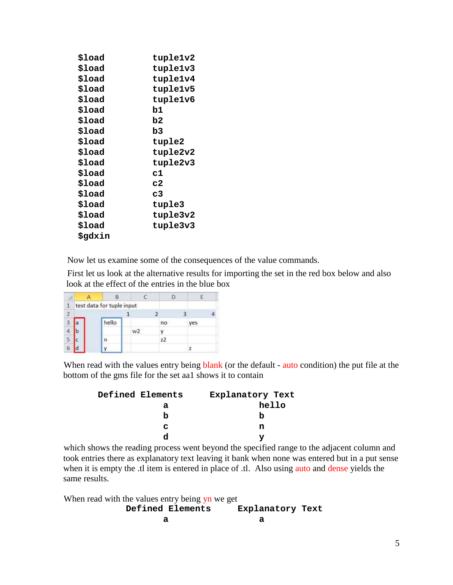| \$load         | tuple1v2 |
|----------------|----------|
| \$load         | tuple1v3 |
| \$load         | tuple1v4 |
| \$load         | tuple1v5 |
| \$load         | tuple1v6 |
| \$load         | b1       |
| \$load         | b2       |
| \$load         | b3       |
| \$load         | tuple2   |
| \$load         | tuple2v2 |
| \$load         | tuple2v3 |
| \$load         | c1       |
| \$load         | c2       |
| \$load         | c3       |
| \$load         | tuple3   |
| \$load         | tuple3v2 |
| \$load         | tuple3v3 |
| <b>\$gdxin</b> |          |

Now let us examine some of the consequences of the value commands.

First let us look at the alternative results for importing the set in the red box below and also look at the effect of the entries in the blue box

|                | B                         |                |    |     |
|----------------|---------------------------|----------------|----|-----|
|                | test data for tuple input |                |    |     |
| $\overline{2}$ |                           |                |    |     |
| 3              | hello                     |                | no | yes |
|                |                           | w <sub>2</sub> |    |     |
|                | n                         |                | z2 |     |
| b              |                           |                |    |     |

When read with the values entry being blank (or the default - auto condition) the put file at the bottom of the gms file for the set aa1 shows it to contain

| Defined Elements | Explanatory Text |
|------------------|------------------|
| a                | hello            |
| h                | n                |
| c                | n                |
|                  |                  |

which shows the reading process went beyond the specified range to the adjacent column and took entries there as explanatory text leaving it bank when none was entered but in a put sense when it is empty the .tl item is entered in place of .tl. Also using auto and dense yields the same results.

When read with the values entry being yn we get  **Defined Elements Explanatory Text a a**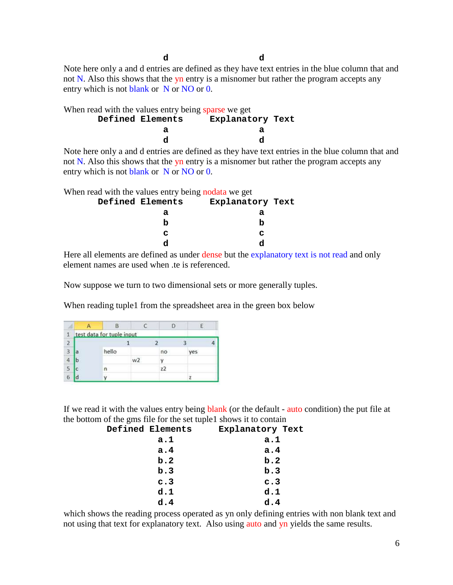**d d** Note here only a and d entries are defined as they have text entries in the blue column that and not N. Also this shows that the yn entry is a misnomer but rather the program accepts any entry which is not blank or N or NO or 0.

|                  | When read with the values entry being sparse we get |  |   |                  |  |  |  |   |  |
|------------------|-----------------------------------------------------|--|---|------------------|--|--|--|---|--|
| Defined Elements |                                                     |  |   | Explanatory Text |  |  |  |   |  |
|                  |                                                     |  | а |                  |  |  |  | а |  |
|                  |                                                     |  | d |                  |  |  |  |   |  |
|                  |                                                     |  |   |                  |  |  |  |   |  |

Note here only a and d entries are defined as they have text entries in the blue column that and not N. Also this shows that the yn entry is a misnomer but rather the program accepts any entry which is not blank or N or NO or 0.

When read with the values entry being nodata we get

| Defined Elements | Explanatory Text |  |
|------------------|------------------|--|
| а                | а                |  |
| n                | n                |  |
| c                | C                |  |
|                  |                  |  |

Here all elements are defined as under dense but the explanatory text is not read and only element names are used when .te is referenced.

Now suppose we turn to two dimensional sets or more generally tuples.

When reading tuple1 from the spreadsheet area in the green box below

|                | test data for tuple input |                |    |    |  |
|----------------|---------------------------|----------------|----|----|--|
| $\overline{2}$ |                           |                |    |    |  |
| 3              | hello                     |                | no | æs |  |
|                |                           | w <sub>2</sub> |    |    |  |
| 5              | n                         |                | 77 |    |  |
| b              |                           |                |    |    |  |

If we read it with the values entry being **blank** (or the default - auto condition) the put file at the bottom of the gms file for the set tuple1 shows it to contain

| Defined Elements | Explanatory Text |
|------------------|------------------|
| a.1              | a.1              |
| a.4              | a.4              |
| b.2              | b.2              |
| b.3              | b.3              |
| c.3              | c.3              |
| d.1              | d.1              |
| d.4              | d.4              |

which shows the reading process operated as yn only defining entries with non blank text and not using that text for explanatory text. Also using auto and yn yields the same results.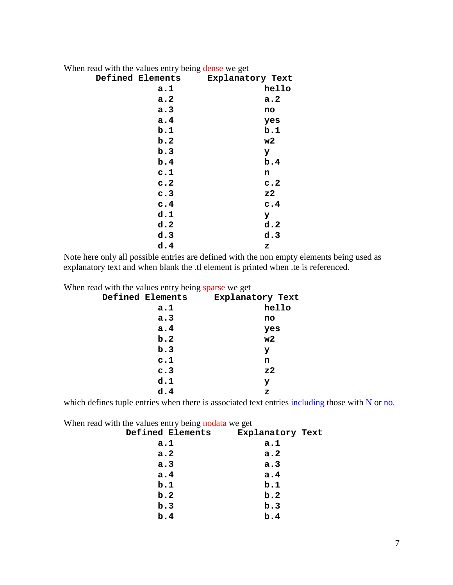| When read with the values entry being dense we get |                  |                  |       |
|----------------------------------------------------|------------------|------------------|-------|
|                                                    | Defined Elements | Explanatory Text |       |
|                                                    | a.1              |                  | hello |
|                                                    | a.2              |                  | a.2   |
|                                                    | a.3              |                  | no    |
|                                                    | a.4              |                  | yes   |
|                                                    | b.1              |                  | b.1   |
|                                                    | b.2              |                  | w2    |
|                                                    | b.3              |                  | У     |
|                                                    | b.4              |                  | b.4   |
|                                                    | c.1              |                  | n     |
|                                                    | c.2              |                  | c.2   |
|                                                    | c.3              |                  | z2    |
|                                                    | c.4              |                  | c.4   |
|                                                    | d.1              |                  | У     |
|                                                    | d.2              |                  | d.2   |
|                                                    | d.3              |                  | d.3   |
|                                                    | d.4              |                  | z     |

Note here only all possible entries are defined with the non empty elements being used as explanatory text and when blank the .tl element is printed when .te is referenced.

When read with the values entry being sparse we get

| Explanatory Text |
|------------------|
| hello            |
| no               |
| yes              |
| w2               |
| У                |
| n                |
| z2               |
| У                |
| z                |
|                  |

which defines tuple entries when there is associated text entries including those with N or no.

When read with the values entry being nodata we get

| Defined Elements | Explanatory Text |  |
|------------------|------------------|--|
| a.1              | a.1              |  |
| a.2              | a.2              |  |
| a.3              | a.3              |  |
| a.4              | a.4              |  |
| b.1              | b.1              |  |
| b.2              | b.2              |  |
| b.3              | b.3              |  |
| b.4              | b.4              |  |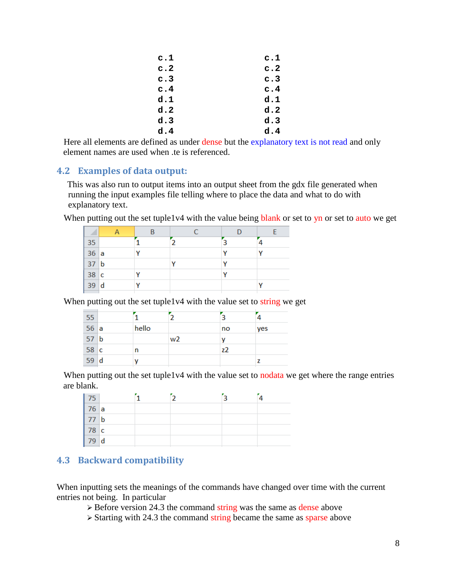| c.1 | c.1 |
|-----|-----|
| c.2 | c.2 |
| c.3 | c.3 |
| c.4 | c.4 |
| d.1 | d.1 |
| d.2 | d.2 |
| d.3 | d.3 |
| d.4 | d.4 |

Here all elements are defined as under dense but the explanatory text is not read and only element names are used when .te is referenced.

#### <span id="page-7-0"></span>**4.2 Examples of data output:**

This was also run to output items into an output sheet from the gdx file generated when running the input examples file telling where to place the data and what to do with explanatory text.

When putting out the set tuple1v4 with the value being blank or set to yn or set to auto we get

| 35   |  |   |  |
|------|--|---|--|
| 36a  |  | v |  |
| 37 b |  |   |  |
| 38c  |  |   |  |
| 39d  |  |   |  |
|      |  |   |  |

When putting out the set tuple1v4 with the value set to string we get

| 55              |   |       |                |    |     |
|-----------------|---|-------|----------------|----|-----|
| 56a             |   | hello |                | no | yes |
| 57 <sub>b</sub> |   |       | w <sub>2</sub> |    |     |
| 58 c            |   | n     |                | z2 |     |
| 59              | d |       |                |    |     |
|                 |   |       |                |    |     |

When putting out the set tuple1v4 with the value set to nodata we get where the range entries are blank.

| 75   |  | ി |  |
|------|--|---|--|
| 76a  |  |   |  |
| 77 b |  |   |  |
| 78 c |  |   |  |
| 79 d |  |   |  |

### <span id="page-7-1"></span>**4.3 Backward compatibility**

When inputting sets the meanings of the commands have changed over time with the current entries not being. In particular

 $\geq$  Before version 24.3 the command string was the same as dense above

 $\triangleright$  Starting with 24.3 the command string became the same as sparse above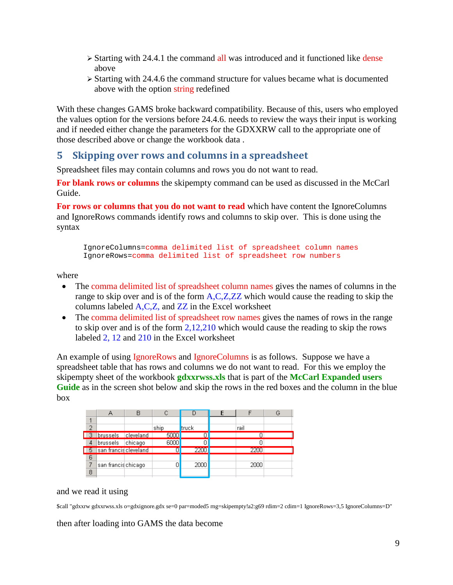- $\geq$  Starting with 24.4.1 the command all was introduced and it functioned like dense above
- $\geq$  Starting with 24.4.6 the command structure for values became what is documented above with the option string redefined

With these changes GAMS broke backward compatibility. Because of this, users who employed the values option for the versions before 24.4.6. needs to review the ways their input is working and if needed either change the parameters for the GDXXRW call to the appropriate one of those described above or change the workbook data .

### <span id="page-8-0"></span>**5 Skipping over rows and columns in a spreadsheet**

Spreadsheet files may contain columns and rows you do not want to read.

**For blank rows or columns** the skipempty command can be used as discussed in the McCarl Guide.

**For rows or columns that you do not want to read** which have content the IgnoreColumns and IgnoreRows commands identify rows and columns to skip over. This is done using the syntax

IgnoreColumns=comma delimited list of spreadsheet column names IgnoreRows=comma delimited list of spreadsheet row numbers

where

- The comma delimited list of spreadsheet column names gives the names of columns in the range to skip over and is of the form A,C,Z,ZZ which would cause the reading to skip the columns labeled A,C,Z, and ZZ in the Excel worksheet
- The comma delimited list of spreadsheet row names gives the names of rows in the range to skip over and is of the form 2,12,210 which would cause the reading to skip the rows labeled 2, 12 and 210 in the Excel worksheet

An example of using IgnoreRows and IgnoreColumns is as follows. Suppose we have a spreadsheet table that has rows and columns we do not want to read. For this we employ the skipempty sheet of the workbook **gdxxrwss.xls** that is part of the **McCarl Expanded users Guide** as in the screen shot below and skip the rows in the red boxes and the column in the blue box

| っ |                          |         | ship | truck | rail |  |
|---|--------------------------|---------|------|-------|------|--|
|   | 3 brussels cleveland     |         | 5000 |       |      |  |
| 4 | brussels                 | chicago | 6000 |       |      |  |
|   | 5   san franciscleveland |         |      | 2200  | 2200 |  |
| 6 |                          |         |      |       |      |  |
|   | san francischicago       |         |      | 2000  | 2000 |  |
| 8 |                          |         |      |       |      |  |

#### and we read it using

\$call "gdxxrw gdxxrwss.xls o=gdxignore.gdx se=0 par=moded5 rng=skipempty!a2:g69 rdim=2 cdim=1 IgnoreRows=3,5 IgnoreColumns=D"

then after loading into GAMS the data become